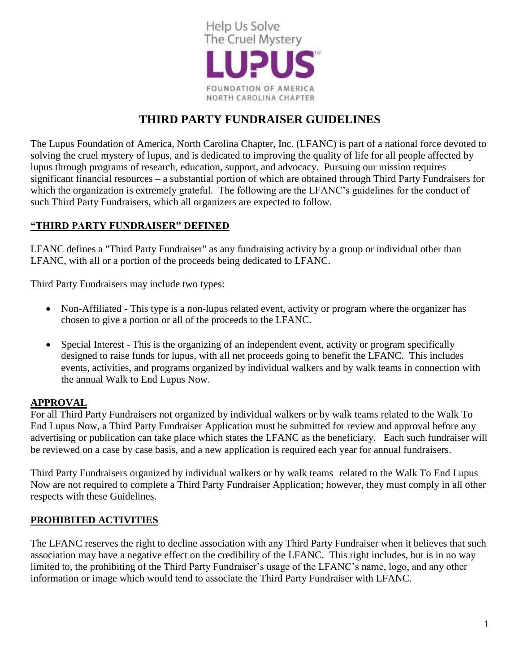

# **THIRD PARTY FUNDRAISER GUIDELINES**

The Lupus Foundation of America, North Carolina Chapter, Inc. (LFANC) is part of a national force devoted to solving the cruel mystery of lupus, and is dedicated to improving the quality of life for all people affected by lupus through programs of research, education, support, and advocacy. Pursuing our mission requires significant financial resources – a substantial portion of which are obtained through Third Party Fundraisers for which the organization is extremely grateful. The following are the LFANC's guidelines for the conduct of such Third Party Fundraisers, which all organizers are expected to follow.

#### **"THIRD PARTY FUNDRAISER" DEFINED**

LFANC defines a "Third Party Fundraiser" as any fundraising activity by a group or individual other than LFANC, with all or a portion of the proceeds being dedicated to LFANC.

Third Party Fundraisers may include two types:

- Non-Affiliated This type is a non-lupus related event, activity or program where the organizer has chosen to give a portion or all of the proceeds to the LFANC.
- Special Interest This is the organizing of an independent event, activity or program specifically designed to raise funds for lupus, with all net proceeds going to benefit the LFANC. This includes events, activities, and programs organized by individual walkers and by walk teams in connection with the annual Walk to End Lupus Now.

#### **APPROVAL**

For all Third Party Fundraisers not organized by individual walkers or by walk teams related to the Walk To End Lupus Now, a Third Party Fundraiser Application must be submitted for review and approval before any advertising or publication can take place which states the LFANC as the beneficiary. Each such fundraiser will be reviewed on a case by case basis, and a new application is required each year for annual fundraisers.

Third Party Fundraisers organized by individual walkers or by walk teams related to the Walk To End Lupus Now are not required to complete a Third Party Fundraiser Application; however, they must comply in all other respects with these Guidelines.

#### **PROHIBITED ACTIVITIES**

The LFANC reserves the right to decline association with any Third Party Fundraiser when it believes that such association may have a negative effect on the credibility of the LFANC. This right includes, but is in no way limited to, the prohibiting of the Third Party Fundraiser's usage of the LFANC's name, logo, and any other information or image which would tend to associate the Third Party Fundraiser with LFANC.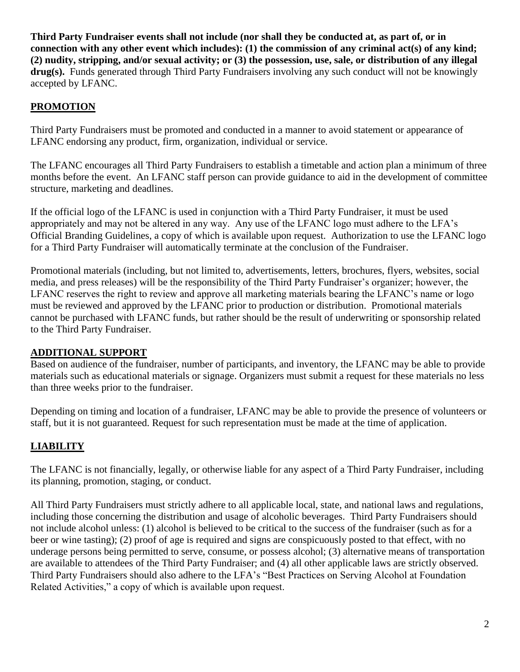**Third Party Fundraiser events shall not include (nor shall they be conducted at, as part of, or in connection with any other event which includes): (1) the commission of any criminal act(s) of any kind; (2) nudity, stripping, and/or sexual activity; or (3) the possession, use, sale, or distribution of any illegal drug(s).** Funds generated through Third Party Fundraisers involving any such conduct will not be knowingly accepted by LFANC.

### **PROMOTION**

Third Party Fundraisers must be promoted and conducted in a manner to avoid statement or appearance of LFANC endorsing any product, firm, organization, individual or service.

The LFANC encourages all Third Party Fundraisers to establish a timetable and action plan a minimum of three months before the event. An LFANC staff person can provide guidance to aid in the development of committee structure, marketing and deadlines.

If the official logo of the LFANC is used in conjunction with a Third Party Fundraiser, it must be used appropriately and may not be altered in any way. Any use of the LFANC logo must adhere to the LFA's Official Branding Guidelines, a copy of which is available upon request. Authorization to use the LFANC logo for a Third Party Fundraiser will automatically terminate at the conclusion of the Fundraiser.

Promotional materials (including, but not limited to, advertisements, letters, brochures, flyers, websites, social media, and press releases) will be the responsibility of the Third Party Fundraiser's organizer; however, the LFANC reserves the right to review and approve all marketing materials bearing the LFANC's name or logo must be reviewed and approved by the LFANC prior to production or distribution. Promotional materials cannot be purchased with LFANC funds, but rather should be the result of underwriting or sponsorship related to the Third Party Fundraiser.

#### **ADDITIONAL SUPPORT**

Based on audience of the fundraiser, number of participants, and inventory, the LFANC may be able to provide materials such as educational materials or signage. Organizers must submit a request for these materials no less than three weeks prior to the fundraiser.

Depending on timing and location of a fundraiser, LFANC may be able to provide the presence of volunteers or staff, but it is not guaranteed. Request for such representation must be made at the time of application.

#### **LIABILITY**

The LFANC is not financially, legally, or otherwise liable for any aspect of a Third Party Fundraiser, including its planning, promotion, staging, or conduct.

All Third Party Fundraisers must strictly adhere to all applicable local, state, and national laws and regulations, including those concerning the distribution and usage of alcoholic beverages. Third Party Fundraisers should not include alcohol unless: (1) alcohol is believed to be critical to the success of the fundraiser (such as for a beer or wine tasting); (2) proof of age is required and signs are conspicuously posted to that effect, with no underage persons being permitted to serve, consume, or possess alcohol; (3) alternative means of transportation are available to attendees of the Third Party Fundraiser; and (4) all other applicable laws are strictly observed. Third Party Fundraisers should also adhere to the LFA's "Best Practices on Serving Alcohol at Foundation Related Activities," a copy of which is available upon request.